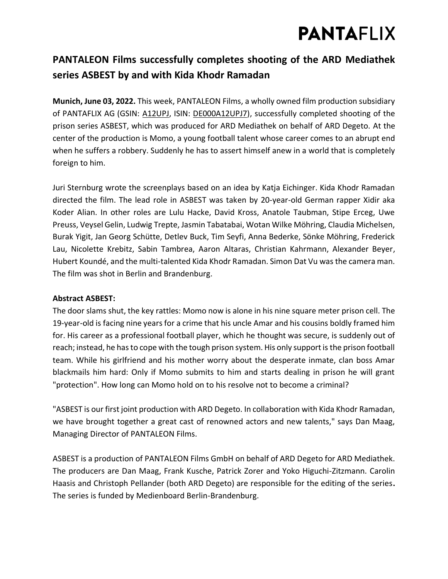# **PANTAFLIX**

### **PANTALEON Films successfully completes shooting of the ARD Mediathek series ASBEST by and with Kida Khodr Ramadan**

**Munich, June 03, 2022.** This week, PANTALEON Films, a wholly owned film production subsidiary of PANTAFLIX AG (GSIN: [A12UPJ,](https://www.boerse-frankfurt.de/aktie/pantaflix-ag) ISIN: [DE000A12UPJ7\)](https://www.boerse-frankfurt.de/equity/pantaflix-ag), successfully completed shooting of the prison series ASBEST, which was produced for ARD Mediathek on behalf of ARD Degeto. At the center of the production is Momo, a young football talent whose career comes to an abrupt end when he suffers a robbery. Suddenly he has to assert himself anew in a world that is completely foreign to him.

Juri Sternburg wrote the screenplays based on an idea by Katja Eichinger. Kida Khodr Ramadan directed the film. The lead role in ASBEST was taken by 20-year-old German rapper Xidir aka Koder Alian. In other roles are Lulu Hacke, David Kross, Anatole Taubman, Stipe Erceg, Uwe Preuss, Veysel Gelin, Ludwig Trepte, Jasmin Tabatabai, Wotan Wilke Möhring, Claudia Michelsen, Burak Yigit, Jan Georg Schütte, Detlev Buck, Tim Seyfi, Anna Bederke, Sönke Möhring, Frederick Lau, Nicolette Krebitz, Sabin Tambrea, Aaron Altaras, Christian Kahrmann, Alexander Beyer, Hubert Koundé, and the multi-talented Kida Khodr Ramadan. Simon Dat Vu was the camera man. The film was shot in Berlin and Brandenburg.

### **Abstract ASBEST:**

The door slams shut, the key rattles: Momo now is alone in his nine square meter prison cell. The 19-year-old is facing nine years for a crime that his uncle Amar and his cousins boldly framed him for. His career as a professional football player, which he thought was secure, is suddenly out of reach; instead, he has to cope with the tough prison system. His only support is the prison football team. While his girlfriend and his mother worry about the desperate inmate, clan boss Amar blackmails him hard: Only if Momo submits to him and starts dealing in prison he will grant "protection". How long can Momo hold on to his resolve not to become a criminal?

"ASBEST is our first joint production with ARD Degeto. In collaboration with Kida Khodr Ramadan, we have brought together a great cast of renowned actors and new talents," says Dan Maag, Managing Director of PANTALEON Films.

ASBEST is a production of PANTALEON Films GmbH on behalf of ARD Degeto for ARD Mediathek. The producers are Dan Maag, Frank Kusche, Patrick Zorer and Yoko Higuchi-Zitzmann. Carolin Haasis and Christoph Pellander (both ARD Degeto) are responsible for the editing of the series**.**  The series is funded by Medienboard Berlin-Brandenburg.